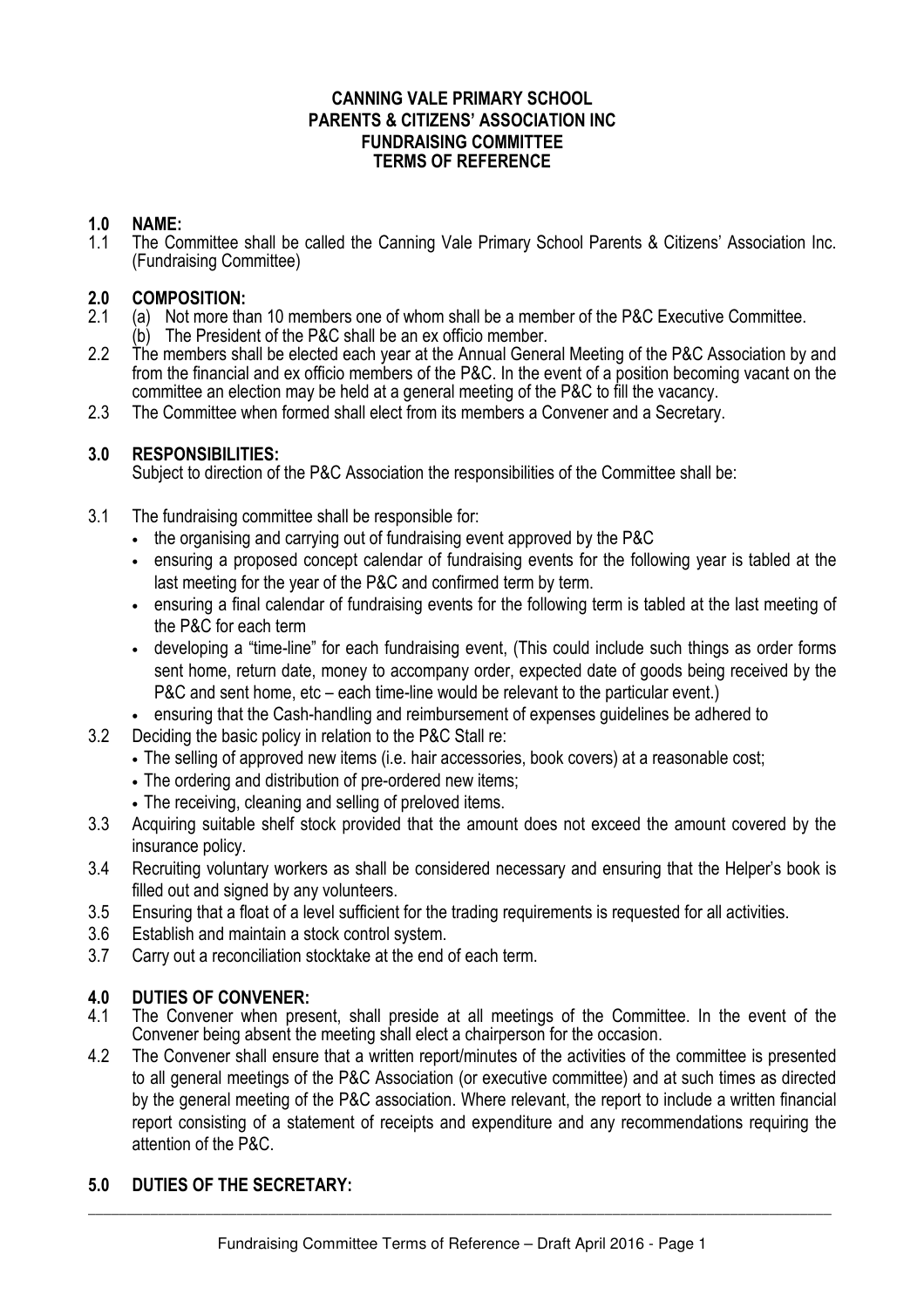### **CANNING VALE PRIMARY SCHOOL PARENTS & CITIZENS' ASSOCIATION INC FUNDRAISING COMMITTEE TERMS OF REFERENCE**

## **1.0 NAME:**

1.1 The Committee shall be called the Canning Vale Primary School Parents & Citizens' Association Inc. (Fundraising Committee)

## **2.0 COMPOSITION:**

- 2.1 (a) Not more than 10 members one of whom shall be a member of the P&C Executive Committee.
- $(b)$  The President of the P&C shall be an ex officio member.<br>2.2 The members shall be elected each vear at the Annual General
- The members shall be elected each year at the Annual General Meeting of the P&C Association by and from the financial and ex officio members of the P&C. In the event of a position becoming vacant on the committee an election may be held at a general meeting of the P&C to fill the vacancy.
- 2.3 The Committee when formed shall elect from its members a Convener and a Secretary.

# **3.0 RESPONSIBILITIES:**

Subject to direction of the P&C Association the responsibilities of the Committee shall be:

- 3.1 The fundraising committee shall be responsible for:
	- the organising and carrying out of fundraising event approved by the P&C
	- ensuring a proposed concept calendar of fundraising events for the following year is tabled at the last meeting for the year of the P&C and confirmed term by term.
	- ensuring a final calendar of fundraising events for the following term is tabled at the last meeting of the P&C for each term
	- developing a "time-line" for each fundraising event, (This could include such things as order forms sent home, return date, money to accompany order, expected date of goods being received by the P&C and sent home, etc – each time-line would be relevant to the particular event.)
	- ensuring that the Cash-handling and reimbursement of expenses guidelines be adhered to
- 3.2 Deciding the basic policy in relation to the P&C Stall re:
	- The selling of approved new items (i.e. hair accessories, book covers) at a reasonable cost;
	- The ordering and distribution of pre-ordered new items;
	- The receiving, cleaning and selling of preloved items.
- 3.3 Acquiring suitable shelf stock provided that the amount does not exceed the amount covered by the insurance policy.
- 3.4 Recruiting voluntary workers as shall be considered necessary and ensuring that the Helper's book is filled out and signed by any volunteers.
- 3.5 Ensuring that a float of a level sufficient for the trading requirements is requested for all activities.
- 3.6 Establish and maintain a stock control system.
- 3.7 Carry out a reconciliation stocktake at the end of each term.

# **4.0 DUTIES OF CONVENER:**

- 4.1 The Convener when present, shall preside at all meetings of the Committee. In the event of the Convener being absent the meeting shall elect a chairperson for the occasion.
- 4.2 The Convener shall ensure that a written report/minutes of the activities of the committee is presented to all general meetings of the P&C Association (or executive committee) and at such times as directed by the general meeting of the P&C association. Where relevant, the report to include a written financial report consisting of a statement of receipts and expenditure and any recommendations requiring the attention of the P&C.

# **5.0 DUTIES OF THE SECRETARY:**